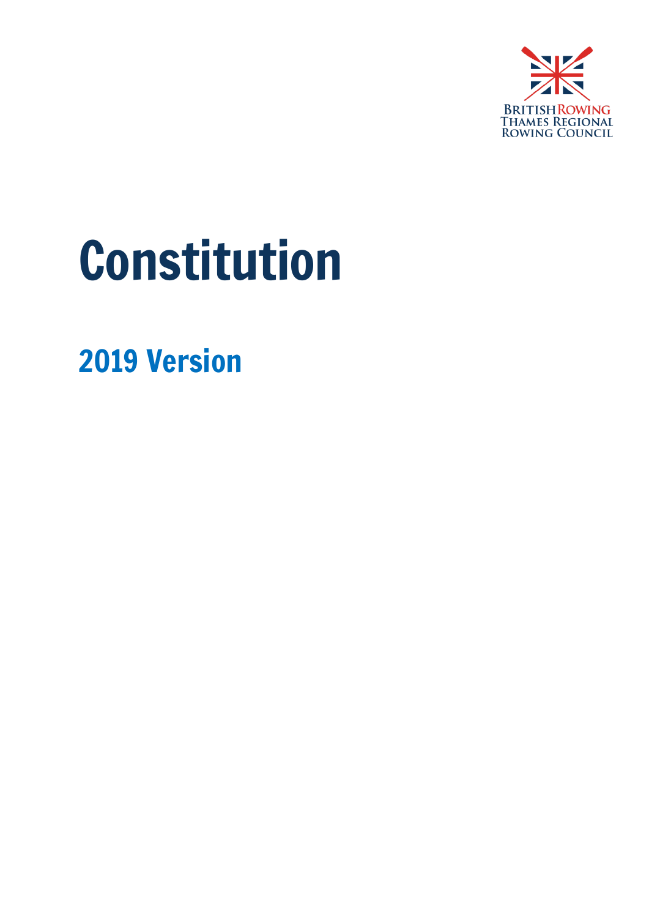

# Constitution

2019 Version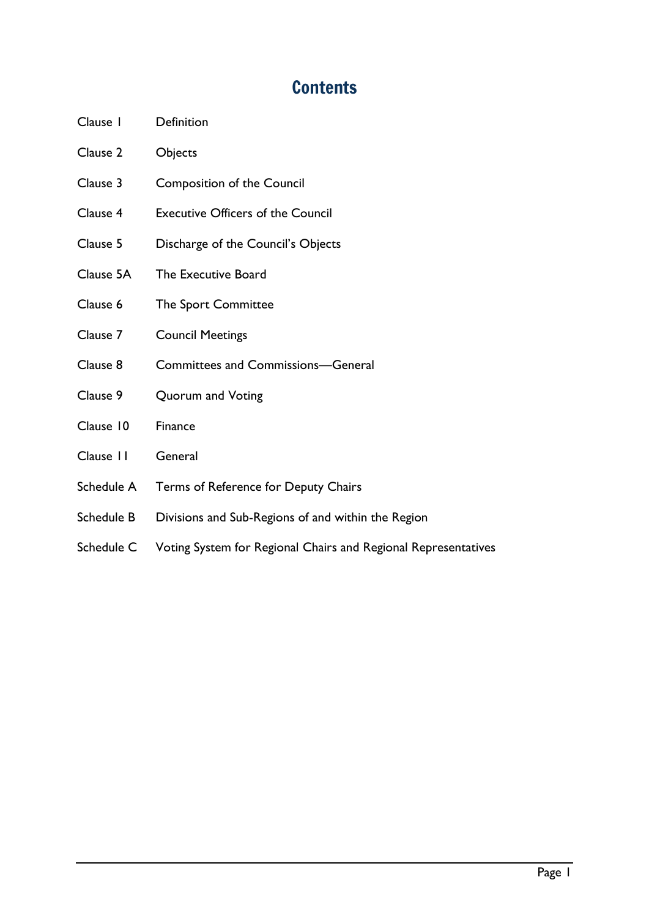## **Contents**

- Clause 1 Definition
- Clause 2 Objects
- Clause 3 Composition of the Council
- Clause 4 Executive Officers of the Council
- Clause 5 Discharge of the Council's Objects
- Clause 5A The Executive Board
- Clause 6 The Sport Committee
- Clause 7 Council Meetings
- Clause 8 Committees and Commissions—General
- Clause 9 Quorum and Voting
- Clause 10 Finance
- Clause 11 General
- Schedule A Terms of Reference for Deputy Chairs
- Schedule B Divisions and Sub-Regions of and within the Region
- Schedule C Voting System for Regional Chairs and Regional Representatives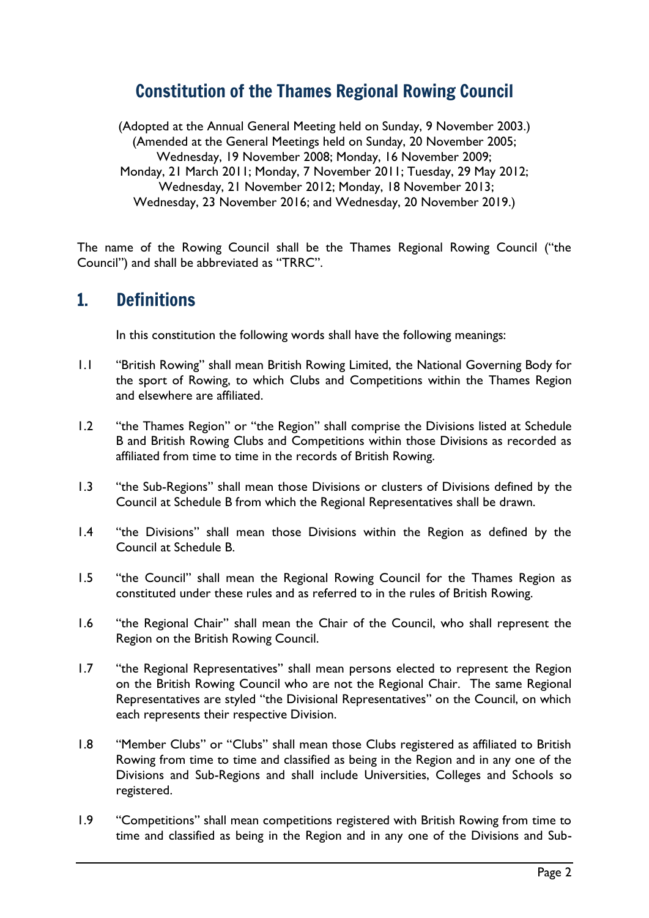### Constitution of the Thames Regional Rowing Council

(Adopted at the Annual General Meeting held on Sunday, 9 November 2003.) (Amended at the General Meetings held on Sunday, 20 November 2005; Wednesday, 19 November 2008; Monday, 16 November 2009; Monday, 21 March 2011; Monday, 7 November 2011; Tuesday, 29 May 2012; Wednesday, 21 November 2012; Monday, 18 November 2013; Wednesday, 23 November 2016; and Wednesday, 20 November 2019.)

The name of the Rowing Council shall be the Thames Regional Rowing Council ("the Council") and shall be abbreviated as "TRRC".

#### 1. Definitions

In this constitution the following words shall have the following meanings:

- 1.1 "British Rowing" shall mean British Rowing Limited, the National Governing Body for the sport of Rowing, to which Clubs and Competitions within the Thames Region and elsewhere are affiliated.
- 1.2 "the Thames Region" or "the Region" shall comprise the Divisions listed at Schedule B and British Rowing Clubs and Competitions within those Divisions as recorded as affiliated from time to time in the records of British Rowing.
- 1.3 "the Sub-Regions" shall mean those Divisions or clusters of Divisions defined by the Council at Schedule B from which the Regional Representatives shall be drawn.
- 1.4 "the Divisions" shall mean those Divisions within the Region as defined by the Council at Schedule B.
- 1.5 "the Council" shall mean the Regional Rowing Council for the Thames Region as constituted under these rules and as referred to in the rules of British Rowing.
- 1.6 "the Regional Chair" shall mean the Chair of the Council, who shall represent the Region on the British Rowing Council.
- 1.7 "the Regional Representatives" shall mean persons elected to represent the Region on the British Rowing Council who are not the Regional Chair. The same Regional Representatives are styled "the Divisional Representatives" on the Council, on which each represents their respective Division.
- 1.8 "Member Clubs" or "Clubs" shall mean those Clubs registered as affiliated to British Rowing from time to time and classified as being in the Region and in any one of the Divisions and Sub-Regions and shall include Universities, Colleges and Schools so registered.
- 1.9 "Competitions" shall mean competitions registered with British Rowing from time to time and classified as being in the Region and in any one of the Divisions and Sub-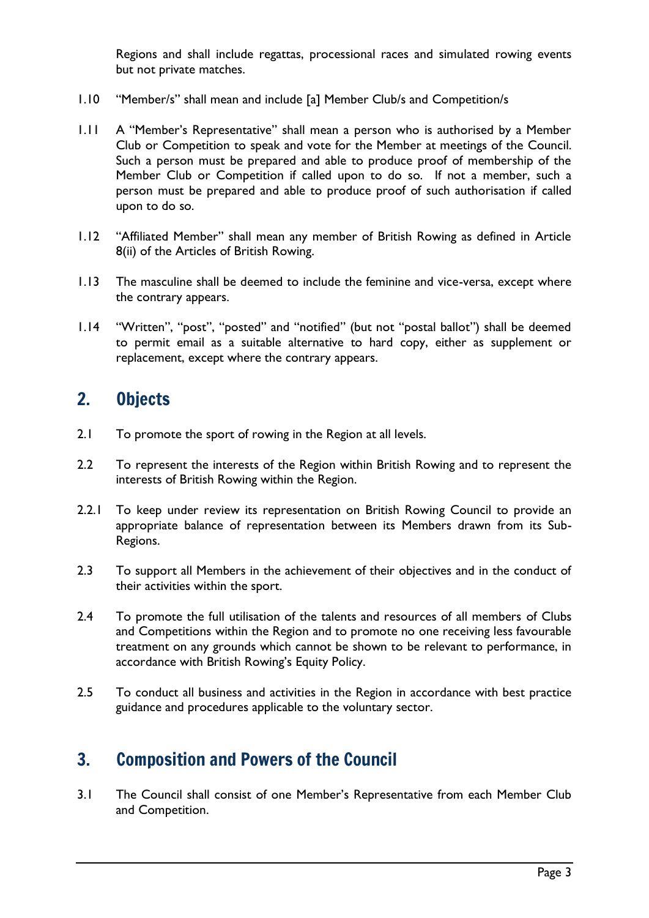Regions and shall include regattas, processional races and simulated rowing events but not private matches.

- 1.10 "Member/s" shall mean and include [a] Member Club/s and Competition/s
- 1.11 A "Member's Representative" shall mean a person who is authorised by a Member Club or Competition to speak and vote for the Member at meetings of the Council. Such a person must be prepared and able to produce proof of membership of the Member Club or Competition if called upon to do so. If not a member, such a person must be prepared and able to produce proof of such authorisation if called upon to do so.
- 1.12 "Affiliated Member" shall mean any member of British Rowing as defined in Article 8(ii) of the Articles of British Rowing.
- 1.13 The masculine shall be deemed to include the feminine and vice-versa, except where the contrary appears.
- 1.14 "Written", "post", "posted" and "notified" (but not "postal ballot") shall be deemed to permit email as a suitable alternative to hard copy, either as supplement or replacement, except where the contrary appears.

#### 2. Objects

- 2.1 To promote the sport of rowing in the Region at all levels.
- 2.2 To represent the interests of the Region within British Rowing and to represent the interests of British Rowing within the Region.
- 2.2.1 To keep under review its representation on British Rowing Council to provide an appropriate balance of representation between its Members drawn from its Sub-Regions.
- 2.3 To support all Members in the achievement of their objectives and in the conduct of their activities within the sport.
- 2.4 To promote the full utilisation of the talents and resources of all members of Clubs and Competitions within the Region and to promote no one receiving less favourable treatment on any grounds which cannot be shown to be relevant to performance, in accordance with British Rowing's Equity Policy.
- 2.5 To conduct all business and activities in the Region in accordance with best practice guidance and procedures applicable to the voluntary sector.

## 3. Composition and Powers of the Council

3.1 The Council shall consist of one Member's Representative from each Member Club and Competition.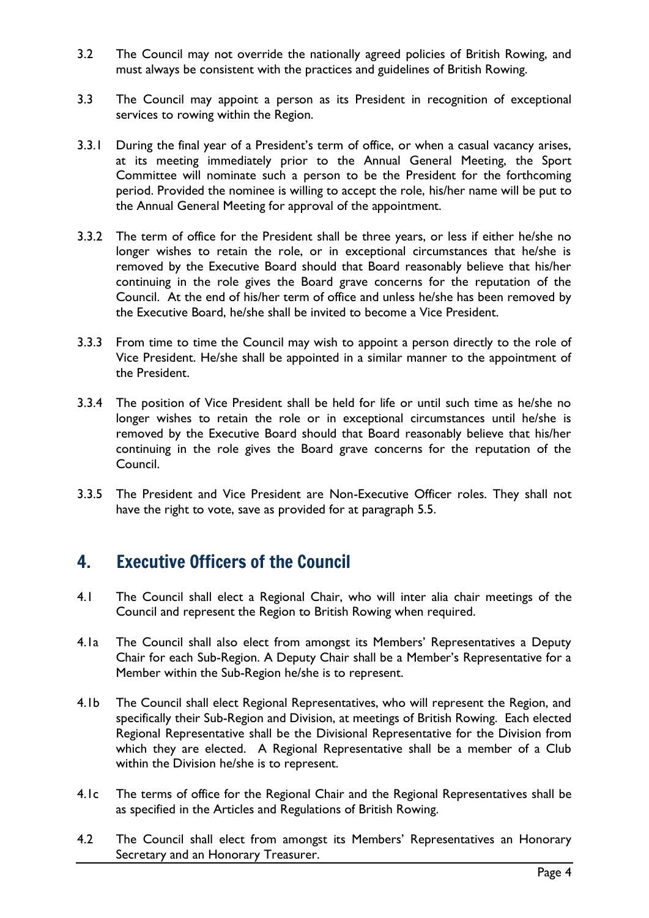- 3.2 The Council may not override the nationally agreed policies of British Rowing, and must always be consistent with the practices and guidelines of British Rowing.
- 3.3 The Council may appoint a person as its President in recognition of exceptional services to rowing within the Region.
- 3.3.1 During the final year of a President's term of office, or when a casual vacancy arises, at its meeting immediately prior to the Annual General Meeting, the Sport Committee will nominate such a person to be the President for the forthcoming period. Provided the nominee is willing to accept the role, his/her name will be put to the Annual General Meeting for approval of the appointment.
- 3.3.2 The term of office for the President shall be three years, or less if either he/she no longer wishes to retain the role, or in exceptional circumstances that he/she is removed by the Executive Board should that Board reasonably believe that his/her continuing in the role gives the Board grave concerns for the reputation of the Council. At the end of his/her term of office and unless he/she has been removed by the Executive Board, he/she shall be invited to become a Vice President.
- 3.3.3 From time to time the Council may wish to appoint a person directly to the role of Vice President. He/she shall be appointed in a similar manner to the appointment of the President.
- 3.3.4 The position of Vice President shall be held for life or until such time as he/she no longer wishes to retain the role or in exceptional circumstances until he/she is removed by the Executive Board should that Board reasonably believe that his/her continuing in the role gives the Board grave concerns for the reputation of the Council.
- 3.3.5 The President and Vice President are Non-Executive Officer roles. They shall not have the right to vote, save as provided for at paragraph 5.5.

#### 4. Executive Officers of the Council

- 4.1 The Council shall elect a Regional Chair, who will inter alia chair meetings of the Council and represent the Region to British Rowing when required.
- 4.1a The Council shall also elect from amongst its Members' Representatives a Deputy Chair for each Sub-Region. A Deputy Chair shall be a Member's Representative for a Member within the Sub-Region he/she is to represent.
- 4.1b The Council shall elect Regional Representatives, who will represent the Region, and specifically their Sub-Region and Division, at meetings of British Rowing. Each elected Regional Representative shall be the Divisional Representative for the Division from which they are elected. A Regional Representative shall be a member of a Club within the Division he/she is to represent.
- 4.1c The terms of office for the Regional Chair and the Regional Representatives shall be as specified in the Articles and Regulations of British Rowing.
- 4.2 The Council shall elect from amongst its Members' Representatives an Honorary Secretary and an Honorary Treasurer.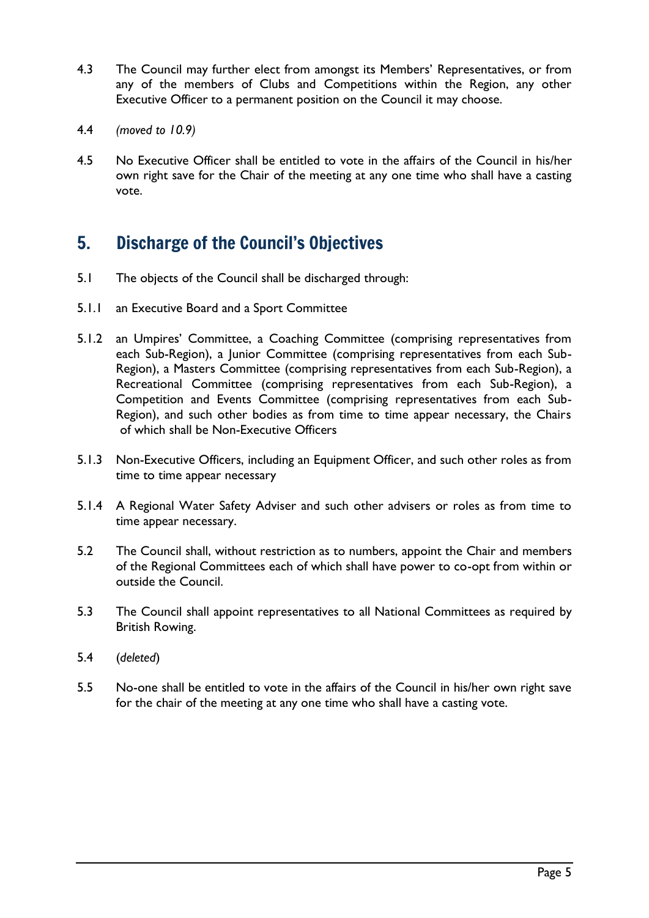- 4.3 The Council may further elect from amongst its Members' Representatives, or from any of the members of Clubs and Competitions within the Region, any other Executive Officer to a permanent position on the Council it may choose.
- 4.4 *(moved to 10.9)*
- 4.5 No Executive Officer shall be entitled to vote in the affairs of the Council in his/her own right save for the Chair of the meeting at any one time who shall have a casting vote.

# 5. Discharge of the Council's Objectives

- 5.1 The objects of the Council shall be discharged through:
- 5.1.1 an Executive Board and a Sport Committee
- 5.1.2 an Umpires' Committee, a Coaching Committee (comprising representatives from each Sub-Region), a Junior Committee (comprising representatives from each Sub-Region), a Masters Committee (comprising representatives from each Sub-Region), a Recreational Committee (comprising representatives from each Sub-Region), a Competition and Events Committee (comprising representatives from each Sub-Region), and such other bodies as from time to time appear necessary, the Chairs of which shall be Non-Executive Officers
- 5.1.3 Non-Executive Officers, including an Equipment Officer, and such other roles as from time to time appear necessary
- 5.1.4 A Regional Water Safety Adviser and such other advisers or roles as from time to time appear necessary.
- 5.2 The Council shall, without restriction as to numbers, appoint the Chair and members of the Regional Committees each of which shall have power to co-opt from within or outside the Council.
- 5.3 The Council shall appoint representatives to all National Committees as required by British Rowing.
- 5.4 (*deleted*)
- 5.5 No-one shall be entitled to vote in the affairs of the Council in his/her own right save for the chair of the meeting at any one time who shall have a casting vote.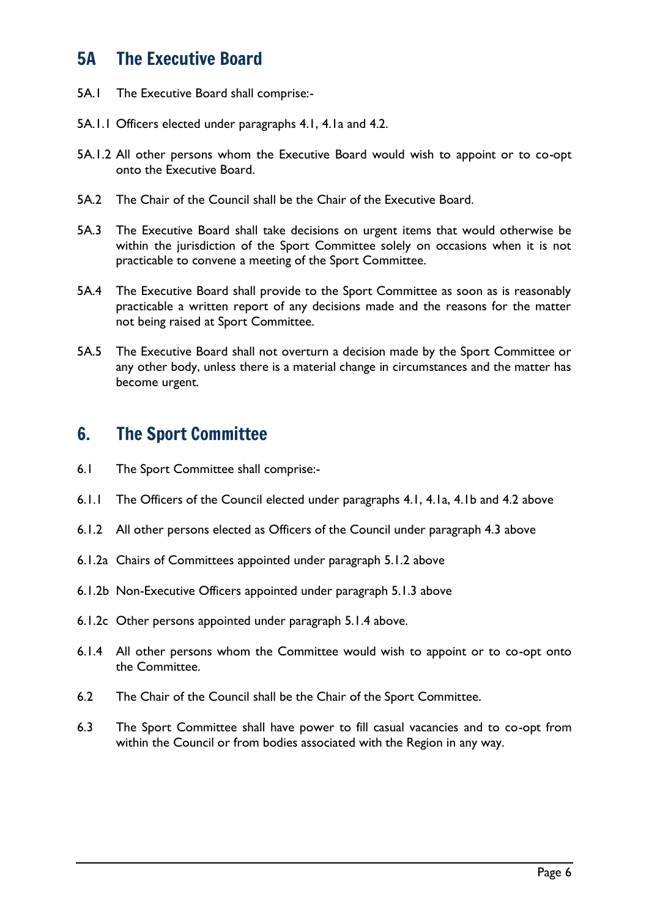### 5A The Executive Board

- 5A.1 The Executive Board shall comprise:-
- 5A.1.1 Officers elected under paragraphs 4.1, 4.1a and 4.2.
- 5A.1.2 All other persons whom the Executive Board would wish to appoint or to co-opt onto the Executive Board.
- 5A.2 The Chair of the Council shall be the Chair of the Executive Board.
- 5A.3 The Executive Board shall take decisions on urgent items that would otherwise be within the jurisdiction of the Sport Committee solely on occasions when it is not practicable to convene a meeting of the Sport Committee.
- 5A.4 The Executive Board shall provide to the Sport Committee as soon as is reasonably practicable a written report of any decisions made and the reasons for the matter not being raised at Sport Committee.
- 5A.5 The Executive Board shall not overturn a decision made by the Sport Committee or any other body, unless there is a material change in circumstances and the matter has become urgent.

#### 6. The Sport Committee

- 6.1 The Sport Committee shall comprise:-
- 6.1.1 The Officers of the Council elected under paragraphs 4.1, 4.1a, 4.1b and 4.2 above
- 6.1.2 All other persons elected as Officers of the Council under paragraph 4.3 above
- 6.1.2a Chairs of Committees appointed under paragraph 5.1.2 above
- 6.1.2b Non-Executive Officers appointed under paragraph 5.1.3 above
- 6.1.2c Other persons appointed under paragraph 5.1.4 above.
- 6.1.4 All other persons whom the Committee would wish to appoint or to co-opt onto the Committee.
- 6.2 The Chair of the Council shall be the Chair of the Sport Committee.
- 6.3 The Sport Committee shall have power to fill casual vacancies and to co-opt from within the Council or from bodies associated with the Region in any way.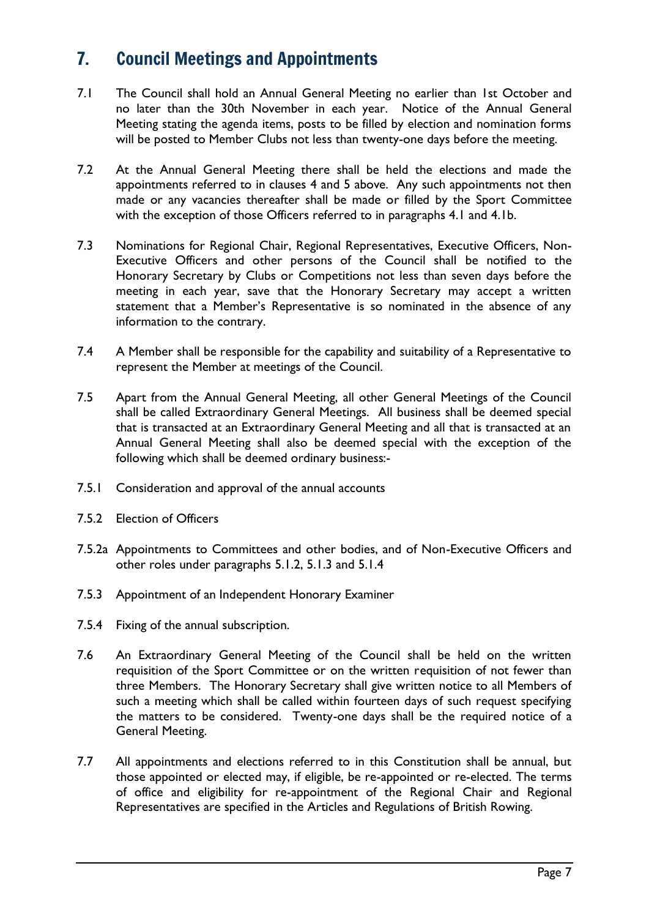# 7. Council Meetings and Appointments

- 7.1 The Council shall hold an Annual General Meeting no earlier than 1st October and no later than the 30th November in each year. Notice of the Annual General Meeting stating the agenda items, posts to be filled by election and nomination forms will be posted to Member Clubs not less than twenty-one days before the meeting.
- 7.2 At the Annual General Meeting there shall be held the elections and made the appointments referred to in clauses 4 and 5 above. Any such appointments not then made or any vacancies thereafter shall be made or filled by the Sport Committee with the exception of those Officers referred to in paragraphs 4.1 and 4.1b.
- 7.3 Nominations for Regional Chair, Regional Representatives, Executive Officers, Non-Executive Officers and other persons of the Council shall be notified to the Honorary Secretary by Clubs or Competitions not less than seven days before the meeting in each year, save that the Honorary Secretary may accept a written statement that a Member's Representative is so nominated in the absence of any information to the contrary.
- 7.4 A Member shall be responsible for the capability and suitability of a Representative to represent the Member at meetings of the Council.
- 7.5 Apart from the Annual General Meeting, all other General Meetings of the Council shall be called Extraordinary General Meetings. All business shall be deemed special that is transacted at an Extraordinary General Meeting and all that is transacted at an Annual General Meeting shall also be deemed special with the exception of the following which shall be deemed ordinary business:-
- 7.5.1 Consideration and approval of the annual accounts
- 7.5.2 Election of Officers
- 7.5.2a Appointments to Committees and other bodies, and of Non-Executive Officers and other roles under paragraphs 5.1.2, 5.1.3 and 5.1.4
- 7.5.3 Appointment of an Independent Honorary Examiner
- 7.5.4 Fixing of the annual subscription.
- 7.6 An Extraordinary General Meeting of the Council shall be held on the written requisition of the Sport Committee or on the written requisition of not fewer than three Members. The Honorary Secretary shall give written notice to all Members of such a meeting which shall be called within fourteen days of such request specifying the matters to be considered. Twenty-one days shall be the required notice of a General Meeting.
- 7.7 All appointments and elections referred to in this Constitution shall be annual, but those appointed or elected may, if eligible, be re-appointed or re-elected. The terms of office and eligibility for re-appointment of the Regional Chair and Regional Representatives are specified in the Articles and Regulations of British Rowing.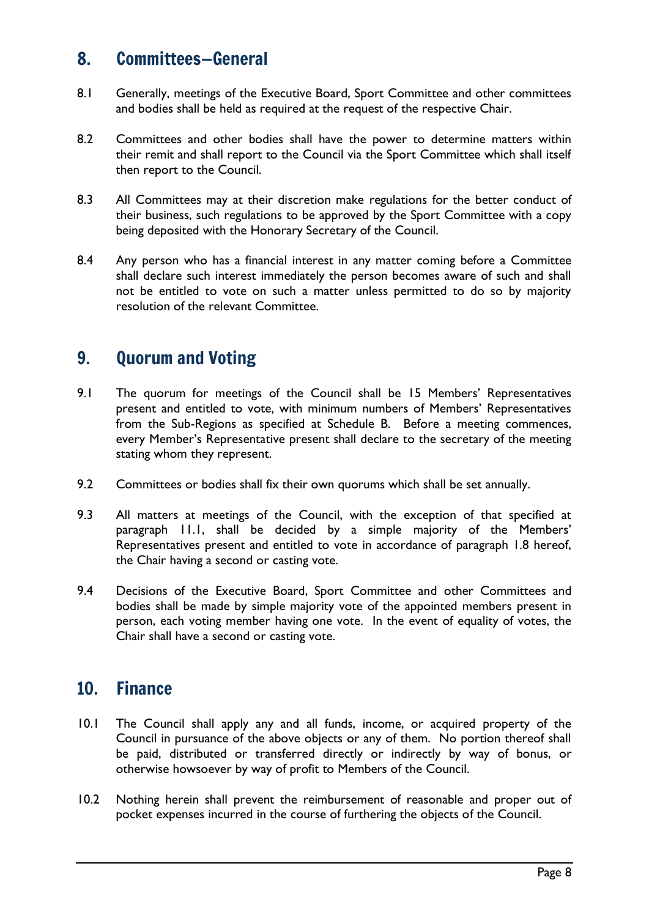#### 8. Committees—General

- 8.1 Generally, meetings of the Executive Board, Sport Committee and other committees and bodies shall be held as required at the request of the respective Chair.
- 8.2 Committees and other bodies shall have the power to determine matters within their remit and shall report to the Council via the Sport Committee which shall itself then report to the Council.
- 8.3 All Committees may at their discretion make regulations for the better conduct of their business, such regulations to be approved by the Sport Committee with a copy being deposited with the Honorary Secretary of the Council.
- 8.4 Any person who has a financial interest in any matter coming before a Committee shall declare such interest immediately the person becomes aware of such and shall not be entitled to vote on such a matter unless permitted to do so by majority resolution of the relevant Committee.

#### 9. Quorum and Voting

- 9.1 The quorum for meetings of the Council shall be 15 Members' Representatives present and entitled to vote, with minimum numbers of Members' Representatives from the Sub-Regions as specified at Schedule B. Before a meeting commences, every Member's Representative present shall declare to the secretary of the meeting stating whom they represent.
- 9.2 Committees or bodies shall fix their own quorums which shall be set annually.
- 9.3 All matters at meetings of the Council, with the exception of that specified at paragraph 11.1, shall be decided by a simple majority of the Members' Representatives present and entitled to vote in accordance of paragraph 1.8 hereof, the Chair having a second or casting vote.
- 9.4 Decisions of the Executive Board, Sport Committee and other Committees and bodies shall be made by simple majority vote of the appointed members present in person, each voting member having one vote. In the event of equality of votes, the Chair shall have a second or casting vote.

#### 10. Finance

- 10.1 The Council shall apply any and all funds, income, or acquired property of the Council in pursuance of the above objects or any of them. No portion thereof shall be paid, distributed or transferred directly or indirectly by way of bonus, or otherwise howsoever by way of profit to Members of the Council.
- 10.2 Nothing herein shall prevent the reimbursement of reasonable and proper out of pocket expenses incurred in the course of furthering the objects of the Council.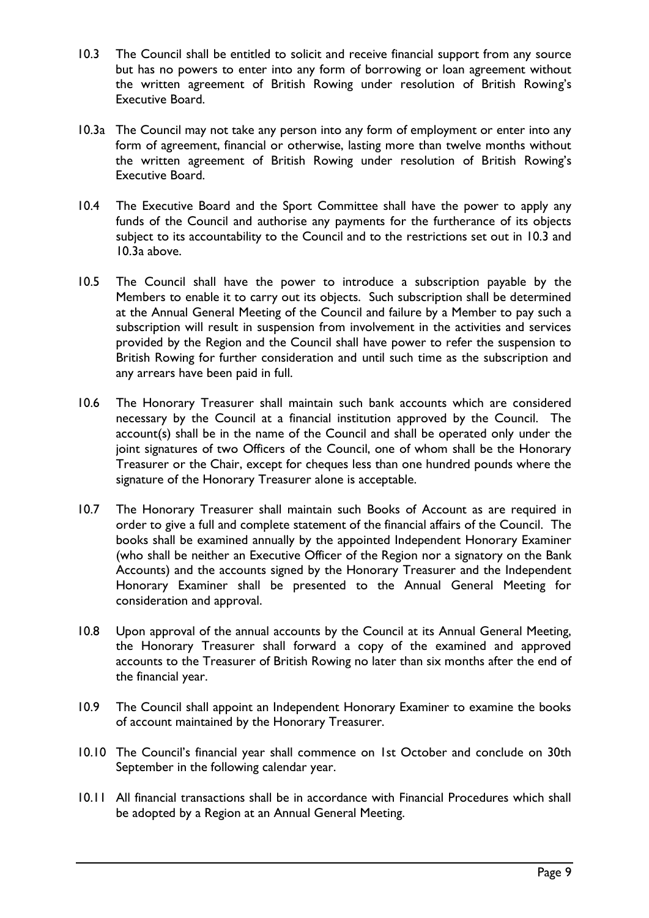- 10.3 The Council shall be entitled to solicit and receive financial support from any source but has no powers to enter into any form of borrowing or loan agreement without the written agreement of British Rowing under resolution of British Rowing's Executive Board.
- 10.3a The Council may not take any person into any form of employment or enter into any form of agreement, financial or otherwise, lasting more than twelve months without the written agreement of British Rowing under resolution of British Rowing's Executive Board.
- 10.4 The Executive Board and the Sport Committee shall have the power to apply any funds of the Council and authorise any payments for the furtherance of its objects subject to its accountability to the Council and to the restrictions set out in 10.3 and 10.3a above.
- 10.5 The Council shall have the power to introduce a subscription payable by the Members to enable it to carry out its objects. Such subscription shall be determined at the Annual General Meeting of the Council and failure by a Member to pay such a subscription will result in suspension from involvement in the activities and services provided by the Region and the Council shall have power to refer the suspension to British Rowing for further consideration and until such time as the subscription and any arrears have been paid in full.
- 10.6 The Honorary Treasurer shall maintain such bank accounts which are considered necessary by the Council at a financial institution approved by the Council. The account(s) shall be in the name of the Council and shall be operated only under the joint signatures of two Officers of the Council, one of whom shall be the Honorary Treasurer or the Chair, except for cheques less than one hundred pounds where the signature of the Honorary Treasurer alone is acceptable.
- 10.7 The Honorary Treasurer shall maintain such Books of Account as are required in order to give a full and complete statement of the financial affairs of the Council. The books shall be examined annually by the appointed Independent Honorary Examiner (who shall be neither an Executive Officer of the Region nor a signatory on the Bank Accounts) and the accounts signed by the Honorary Treasurer and the Independent Honorary Examiner shall be presented to the Annual General Meeting for consideration and approval.
- 10.8 Upon approval of the annual accounts by the Council at its Annual General Meeting, the Honorary Treasurer shall forward a copy of the examined and approved accounts to the Treasurer of British Rowing no later than six months after the end of the financial year.
- 10.9 The Council shall appoint an Independent Honorary Examiner to examine the books of account maintained by the Honorary Treasurer.
- 10.10 The Council's financial year shall commence on 1st October and conclude on 30th September in the following calendar year.
- 10.11 All financial transactions shall be in accordance with Financial Procedures which shall be adopted by a Region at an Annual General Meeting.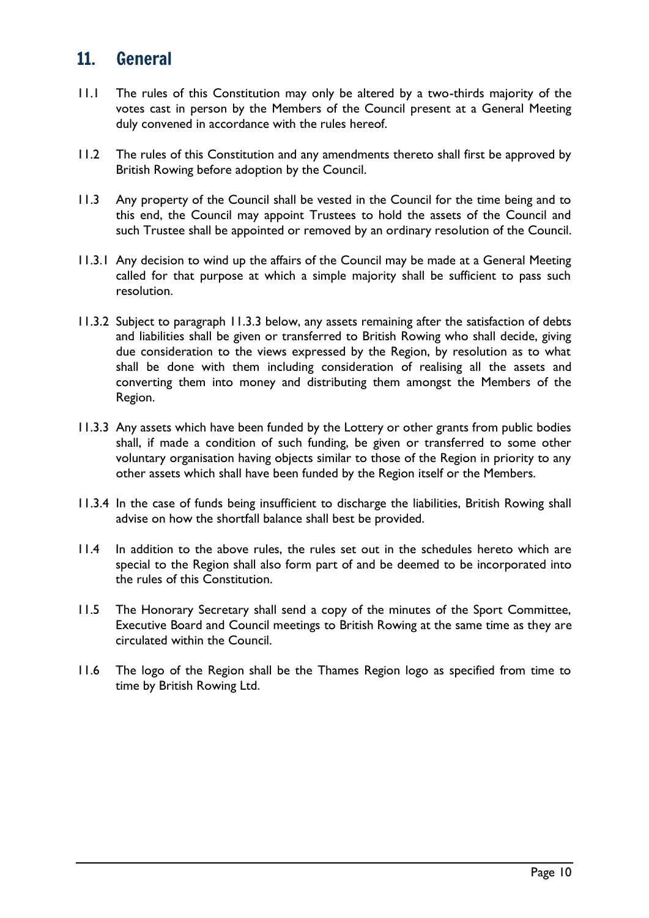#### 11. General

- 11.1 The rules of this Constitution may only be altered by a two-thirds majority of the votes cast in person by the Members of the Council present at a General Meeting duly convened in accordance with the rules hereof.
- 11.2 The rules of this Constitution and any amendments thereto shall first be approved by British Rowing before adoption by the Council.
- 11.3 Any property of the Council shall be vested in the Council for the time being and to this end, the Council may appoint Trustees to hold the assets of the Council and such Trustee shall be appointed or removed by an ordinary resolution of the Council.
- 11.3.1 Any decision to wind up the affairs of the Council may be made at a General Meeting called for that purpose at which a simple majority shall be sufficient to pass such resolution.
- 11.3.2 Subject to paragraph 11.3.3 below, any assets remaining after the satisfaction of debts and liabilities shall be given or transferred to British Rowing who shall decide, giving due consideration to the views expressed by the Region, by resolution as to what shall be done with them including consideration of realising all the assets and converting them into money and distributing them amongst the Members of the Region.
- 11.3.3 Any assets which have been funded by the Lottery or other grants from public bodies shall, if made a condition of such funding, be given or transferred to some other voluntary organisation having objects similar to those of the Region in priority to any other assets which shall have been funded by the Region itself or the Members.
- 11.3.4 In the case of funds being insufficient to discharge the liabilities, British Rowing shall advise on how the shortfall balance shall best be provided.
- 11.4 In addition to the above rules, the rules set out in the schedules hereto which are special to the Region shall also form part of and be deemed to be incorporated into the rules of this Constitution.
- 11.5 The Honorary Secretary shall send a copy of the minutes of the Sport Committee, Executive Board and Council meetings to British Rowing at the same time as they are circulated within the Council.
- 11.6 The logo of the Region shall be the Thames Region logo as specified from time to time by British Rowing Ltd.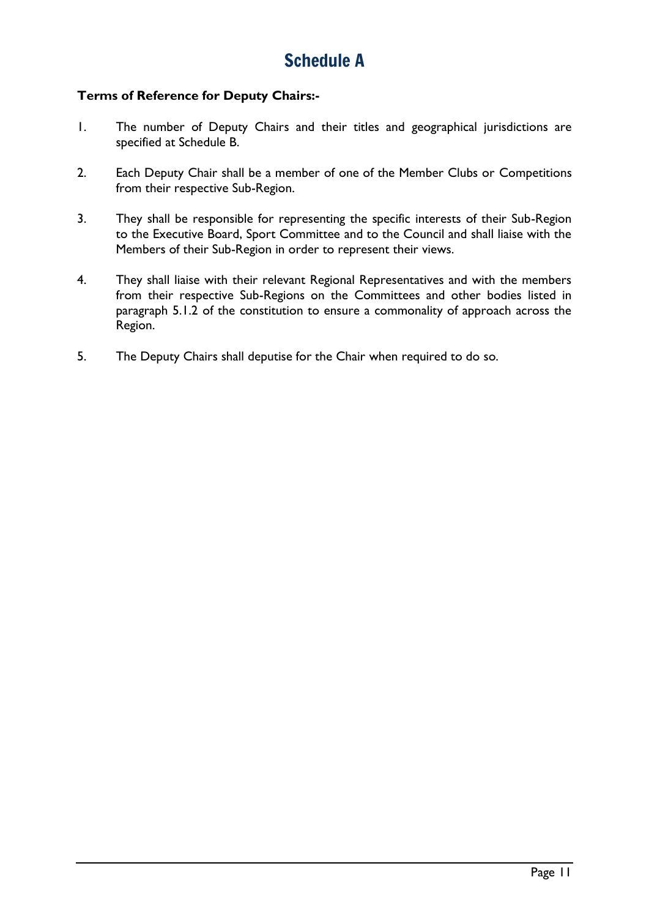# Schedule A

#### **Terms of Reference for Deputy Chairs:-**

- 1. The number of Deputy Chairs and their titles and geographical jurisdictions are specified at Schedule B.
- 2. Each Deputy Chair shall be a member of one of the Member Clubs or Competitions from their respective Sub-Region.
- 3. They shall be responsible for representing the specific interests of their Sub-Region to the Executive Board, Sport Committee and to the Council and shall liaise with the Members of their Sub-Region in order to represent their views.
- 4. They shall liaise with their relevant Regional Representatives and with the members from their respective Sub-Regions on the Committees and other bodies listed in paragraph 5.1.2 of the constitution to ensure a commonality of approach across the Region.
- 5. The Deputy Chairs shall deputise for the Chair when required to do so.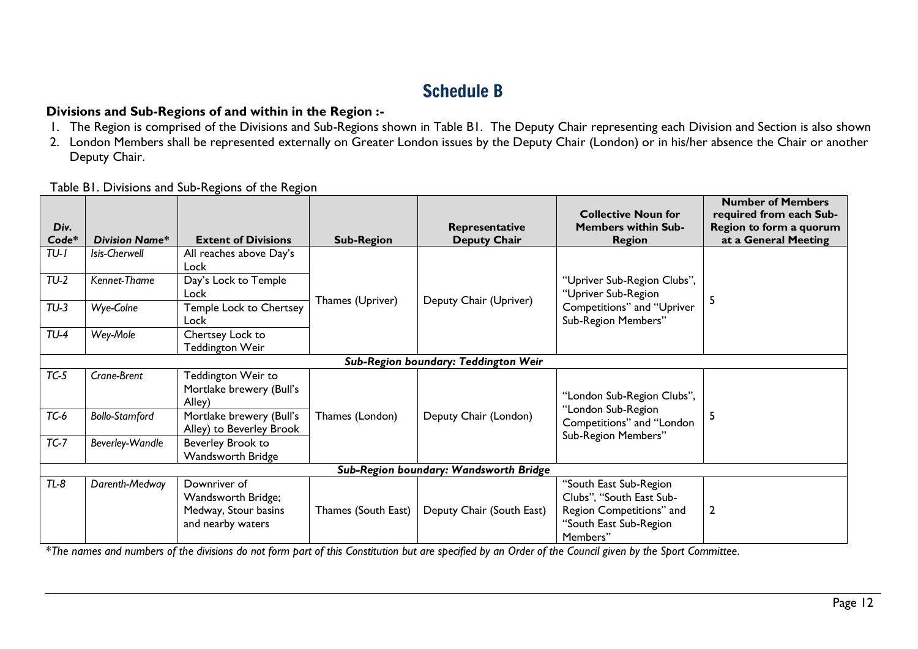# Schedule B

#### **Divisions and Sub-Regions of and within in the Region :-**

- 1. The Region is comprised of the Divisions and Sub-Regions shown in Table B1. The Deputy Chair representing each Division and Section is also shown
- 2. London Members shall be represented externally on Greater London issues by the Deputy Chair (London) or in his/her absence the Chair or another Deputy Chair.

*Div. Code\***Division Name\** **Extent of Divisions Sub-Region Representative Deputy Chair Collective Noun for Members within Sub-Region Number of Members required from each Sub-Region to form a quorum at a General Meeting** *TU-1 Isis-Cherwell* All reaches above Day's Lock Thames (Upriver) | Deputy Chair (Upriver) "Upriver Sub-Region Clubs", "Upriver Sub-Region Competitions" and "Upriver Sub-Region Members" 5 *TU-2 Kennet-Thame* Day's Lock to Temple Lock *TU-3 Wye-Colne* Temple Lock to Chertsey Lock *TU-4 Wey-Mole* Chertsey Lock to Teddington Weir *Sub-Region boundary: Teddington Weir TC-5 Crane-Brent* Teddington Weir to Mortlake brewery (Bull's Alley) Thames (London) | Deputy Chair (London) "London Sub-Region Clubs", "London Sub-Region Competitions" and "London Sub-Region Members" *TC-6 Bollo-Stamford* Mortlake brewery (Bull's Thames (London) Deputy Chair (London) Consideration 15 Alley) to Beverley Brook *TC-7* Beverley-Wandle Beverley Brook to Wandsworth Bridge *Sub-Region boundary: Wandsworth Bridge TL-8 Darenth-Medway* Downriver of Wandsworth Bridge; Medway, Stour basins and nearby waters Thames (South East) | Deputy Chair (South East) "South East Sub-Region Clubs", "South East Sub-Region Competitions" and "South East Sub-Region Members" 2

Table B1. Divisions and Sub-Regions of the Region

\**The names and numbers of the divisions do not form part of this Constitution but are specified by an Order of the Council given by the Sport Committee*.